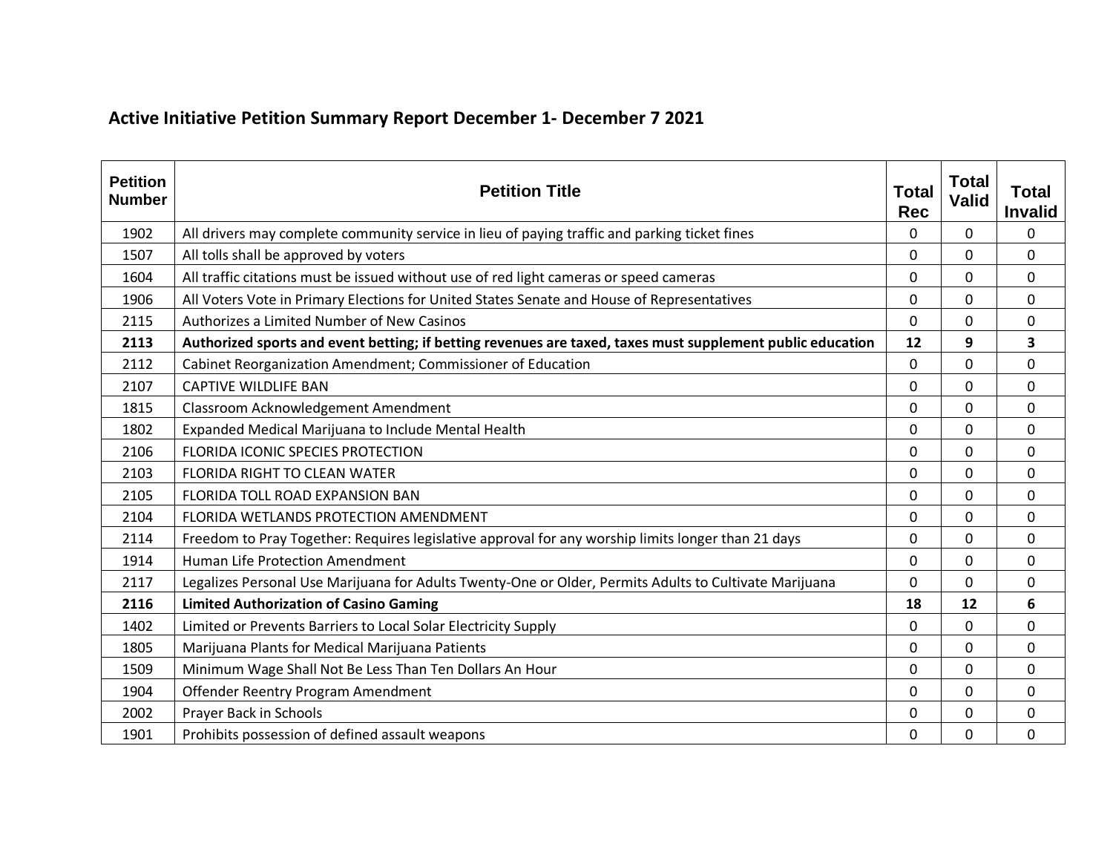## **Active Initiative Petition Summary Report December 1- December 7 2021**

| <b>Petition</b><br><b>Number</b> | <b>Petition Title</b>                                                                                      | <b>Total</b><br><b>Rec</b> | <b>Total</b><br><b>Valid</b> | <b>Total</b><br><b>Invalid</b> |
|----------------------------------|------------------------------------------------------------------------------------------------------------|----------------------------|------------------------------|--------------------------------|
| 1902                             | All drivers may complete community service in lieu of paying traffic and parking ticket fines              | 0                          | 0                            | 0                              |
| 1507                             | All tolls shall be approved by voters                                                                      | 0                          | 0                            | 0                              |
| 1604                             | All traffic citations must be issued without use of red light cameras or speed cameras                     | 0                          | 0                            | 0                              |
| 1906                             | All Voters Vote in Primary Elections for United States Senate and House of Representatives                 | $\Omega$                   | 0                            | $\Omega$                       |
| 2115                             | Authorizes a Limited Number of New Casinos                                                                 | 0                          | 0                            | 0                              |
| 2113                             | Authorized sports and event betting; if betting revenues are taxed, taxes must supplement public education | 12                         | 9                            | 3                              |
| 2112                             | Cabinet Reorganization Amendment; Commissioner of Education                                                | 0                          | 0                            | 0                              |
| 2107                             | <b>CAPTIVE WILDLIFE BAN</b>                                                                                | 0                          | 0                            | 0                              |
| 1815                             | Classroom Acknowledgement Amendment                                                                        | $\Omega$                   | $\Omega$                     | 0                              |
| 1802                             | Expanded Medical Marijuana to Include Mental Health                                                        | 0                          | 0                            | 0                              |
| 2106                             | FLORIDA ICONIC SPECIES PROTECTION                                                                          | 0                          | 0                            | 0                              |
| 2103                             | <b>FLORIDA RIGHT TO CLEAN WATER</b>                                                                        | 0                          | 0                            | 0                              |
| 2105                             | FLORIDA TOLL ROAD EXPANSION BAN                                                                            | 0                          | 0                            | 0                              |
| 2104                             | FLORIDA WETLANDS PROTECTION AMENDMENT                                                                      | 0                          | $\Omega$                     | 0                              |
| 2114                             | Freedom to Pray Together: Requires legislative approval for any worship limits longer than 21 days         | 0                          | 0                            | 0                              |
| 1914                             | Human Life Protection Amendment                                                                            | 0                          | 0                            | 0                              |
| 2117                             | Legalizes Personal Use Marijuana for Adults Twenty-One or Older, Permits Adults to Cultivate Marijuana     | 0                          | 0                            | 0                              |
| 2116                             | <b>Limited Authorization of Casino Gaming</b>                                                              | 18                         | 12                           | 6                              |
| 1402                             | Limited or Prevents Barriers to Local Solar Electricity Supply                                             | 0                          | 0                            | 0                              |
| 1805                             | Marijuana Plants for Medical Marijuana Patients                                                            | 0                          | 0                            | 0                              |
| 1509                             | Minimum Wage Shall Not Be Less Than Ten Dollars An Hour                                                    | 0                          | 0                            | 0                              |
| 1904                             | Offender Reentry Program Amendment                                                                         | 0                          | 0                            | 0                              |
| 2002                             | Prayer Back in Schools                                                                                     | 0                          | 0                            | 0                              |
| 1901                             | Prohibits possession of defined assault weapons                                                            | 0                          | 0                            | $\mathbf{0}$                   |